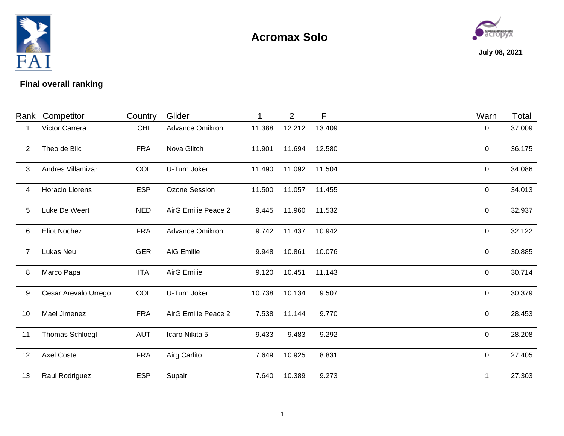



## **Final overall ranking**

| Rank           | Competitor             | Country    | Glider              |        | $\overline{2}$ | F      | Warn             | Total  |
|----------------|------------------------|------------|---------------------|--------|----------------|--------|------------------|--------|
| 1              | Victor Carrera         | <b>CHI</b> | Advance Omikron     | 11.388 | 12.212         | 13.409 | 0                | 37.009 |
| $\overline{2}$ | Theo de Blic           | <b>FRA</b> | Nova Glitch         | 11.901 | 11.694         | 12.580 | $\boldsymbol{0}$ | 36.175 |
| 3              | Andres Villamizar      | COL        | U-Turn Joker        | 11.490 | 11.092         | 11.504 | $\boldsymbol{0}$ | 34.086 |
| 4              | Horacio Llorens        | <b>ESP</b> | Ozone Session       | 11.500 | 11.057         | 11.455 | $\mathbf 0$      | 34.013 |
| 5              | Luke De Weert          | <b>NED</b> | AirG Emilie Peace 2 | 9.445  | 11.960         | 11.532 | $\mathbf 0$      | 32.937 |
| 6              | <b>Eliot Nochez</b>    | <b>FRA</b> | Advance Omikron     | 9.742  | 11.437         | 10.942 | $\boldsymbol{0}$ | 32.122 |
| $\overline{7}$ | Lukas Neu              | <b>GER</b> | AiG Emilie          | 9.948  | 10.861         | 10.076 | $\mathbf 0$      | 30.885 |
| 8              | Marco Papa             | <b>ITA</b> | <b>AirG Emilie</b>  | 9.120  | 10.451         | 11.143 | $\mathbf 0$      | 30.714 |
| 9              | Cesar Arevalo Urrego   | COL        | U-Turn Joker        | 10.738 | 10.134         | 9.507  | $\boldsymbol{0}$ | 30.379 |
| 10             | Mael Jimenez           | <b>FRA</b> | AirG Emilie Peace 2 | 7.538  | 11.144         | 9.770  | $\pmb{0}$        | 28.453 |
| 11             | <b>Thomas Schloegl</b> | <b>AUT</b> | Icaro Nikita 5      | 9.433  | 9.483          | 9.292  | $\boldsymbol{0}$ | 28.208 |
| 12             | Axel Coste             | <b>FRA</b> | Airg Carlito        | 7.649  | 10.925         | 8.831  | $\mathbf 0$      | 27.405 |
| 13             | Raul Rodriguez         | <b>ESP</b> | Supair              | 7.640  | 10.389         | 9.273  | 1                | 27.303 |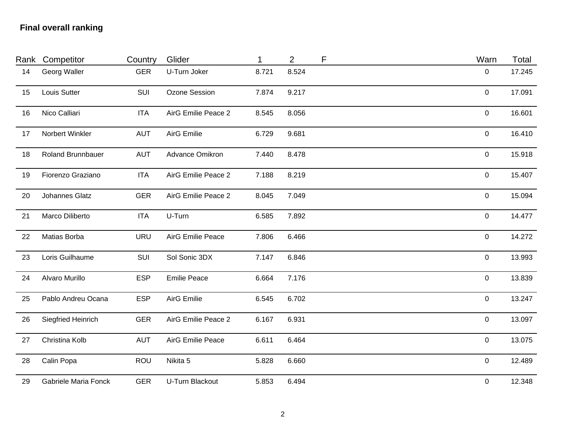## **Final overall ranking**

| Rank | Competitor           | Country    | Glider              |       | $\overline{2}$ | F | Warn        | Total  |
|------|----------------------|------------|---------------------|-------|----------------|---|-------------|--------|
| 14   | Georg Waller         | <b>GER</b> | U-Turn Joker        | 8.721 | 8.524          |   | $\mathbf 0$ | 17.245 |
| 15   | Louis Sutter         | SUI        | Ozone Session       | 7.874 | 9.217          |   | $\mathbf 0$ | 17.091 |
| 16   | Nico Calliari        | <b>ITA</b> | AirG Emilie Peace 2 | 8.545 | 8.056          |   | $\pmb{0}$   | 16.601 |
| 17   | Norbert Winkler      | <b>AUT</b> | AirG Emilie         | 6.729 | 9.681          |   | $\mathbf 0$ | 16.410 |
| 18   | Roland Brunnbauer    | <b>AUT</b> | Advance Omikron     | 7.440 | 8.478          |   | $\pmb{0}$   | 15.918 |
| 19   | Fiorenzo Graziano    | <b>ITA</b> | AirG Emilie Peace 2 | 7.188 | 8.219          |   | $\pmb{0}$   | 15.407 |
| 20   | Johannes Glatz       | <b>GER</b> | AirG Emilie Peace 2 | 8.045 | 7.049          |   | $\pmb{0}$   | 15.094 |
| 21   | Marco Diliberto      | <b>ITA</b> | U-Turn              | 6.585 | 7.892          |   | $\pmb{0}$   | 14.477 |
| 22   | Matias Borba         | <b>URU</b> | AirG Emilie Peace   | 7.806 | 6.466          |   | $\pmb{0}$   | 14.272 |
| 23   | Loris Guilhaume      | SUI        | Sol Sonic 3DX       | 7.147 | 6.846          |   | $\pmb{0}$   | 13.993 |
| 24   | Alvaro Murillo       | <b>ESP</b> | <b>Emilie Peace</b> | 6.664 | 7.176          |   | $\pmb{0}$   | 13.839 |
| 25   | Pablo Andreu Ocana   | <b>ESP</b> | AirG Emilie         | 6.545 | 6.702          |   | $\pmb{0}$   | 13.247 |
| 26   | Siegfried Heinrich   | <b>GER</b> | AirG Emilie Peace 2 | 6.167 | 6.931          |   | $\mathbf 0$ | 13.097 |
| 27   | Christina Kolb       | <b>AUT</b> | AirG Emilie Peace   | 6.611 | 6.464          |   | $\pmb{0}$   | 13.075 |
| 28   | Calin Popa           | <b>ROU</b> | Nikita 5            | 5.828 | 6.660          |   | $\mathbf 0$ | 12.489 |
| 29   | Gabriele Maria Fonck | <b>GER</b> | U-Turn Blackout     | 5.853 | 6.494          |   | $\pmb{0}$   | 12.348 |